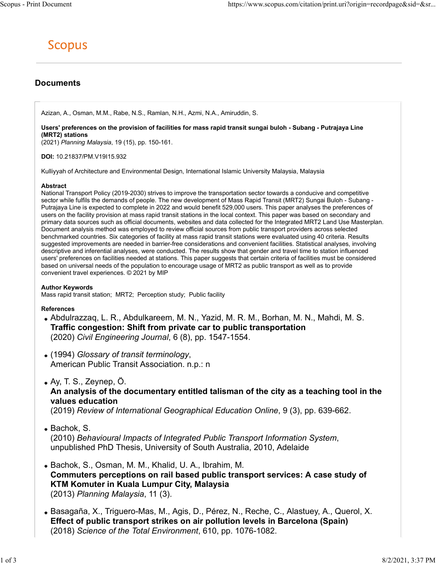# Documents

Azizan, A., Osman, M.M., Rabe, N.S., Ramlan, N.H., Azmi, N.A., Amiruddin, S.

Users' preferences on the provision of facilities for mass rapid transit sungai buloh - Subang - Putrajaya Line (MRT2) stations

(2021) Planning Malaysia, 19 (15), pp. 150-161.

DOI: 10.21837/PM.V19I15.932

Kulliyyah of Architecture and Environmental Design, International Islamic University Malaysia, Malaysia

#### Abstract

National Transport Policy (2019-2030) strives to improve the transportation sector towards a conducive and competitive sector while fulfils the demands of people. The new development of Mass Rapid Transit (MRT2) Sungai Buloh - Subang - Putrajaya Line is expected to complete in 2022 and would benefit 529,000 users. This paper analyses the preferences of users on the facility provision at mass rapid transit stations in the local context. This paper was based on secondary and primary data sources such as official documents, websites and data collected for the Integrated MRT2 Land Use Masterplan. Document analysis method was employed to review official sources from public transport providers across selected benchmarked countries. Six categories of facility at mass rapid transit stations were evaluated using 40 criteria. Results suggested improvements are needed in barrier-free considerations and convenient facilities. Statistical analyses, involving descriptive and inferential analyses, were conducted. The results show that gender and travel time to station influenced users' preferences on facilities needed at stations. This paper suggests that certain criteria of facilities must be considered based on universal needs of the population to encourage usage of MRT2 as public transport as well as to provide convenient travel experiences. © 2021 by MIP

### Author Keywords

Mass rapid transit station; MRT2; Perception study; Public facility

### References

- Abdulrazzaq, L. R., Abdulkareem, M. N., Yazid, M. R. M., Borhan, M. N., Mahdi, M. S. Traffic congestion: Shift from private car to public transportation (2020) Civil Engineering Journal, 6 (8), pp. 1547-1554.
- (1994) Glossary of transit terminology, American Public Transit Association. n.p.: n
- Ay, T. S., Zeynep, Ö.

## An analysis of the documentary entitled talisman of the city as a teaching tool in the values education

(2019) Review of International Geographical Education Online, 9 (3), pp. 639-662.

• Bachok, S.

(2010) Behavioural Impacts of Integrated Public Transport Information System,<br>unpublished PhD Thesis, University of South Australia, 2010, Adelaide

- Bachok, S., Osman, M. M., Khalid, U. A., Ibrahim, M. Commuters perceptions on rail based public transport services: A case study of KTM Komuter in Kuala Lumpur City, Malaysia (2013) Planning Malaysia, 11 (3).
- Basagaña, X., Triguero-Mas, M., Agis, D., Pérez, N., Reche, C., Alastuey, A., Querol, X. Effect of public transport strikes on air pollution levels in Barcelona (Spain) (2018) Science of the Total Environment, 610, pp. 1076-1082.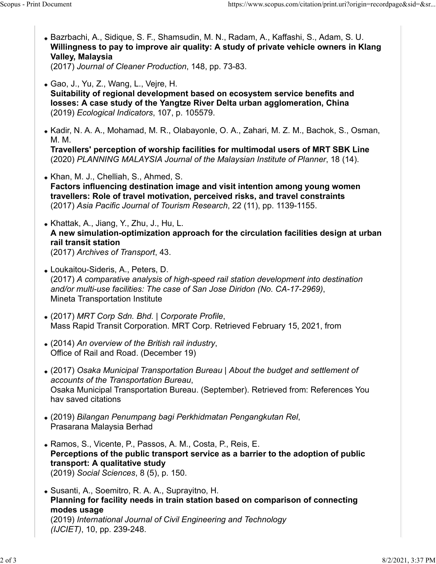- Bazrbachi, A., Sidique, S. F., Shamsudin, M. N., Radam, A., Kaffashi, S., Adam, S. U. Willingness to pay to improve air quality: A study of private vehicle owners in Klang Valley, Malaysia (2017) Journal of Cleaner Production, 148, pp. 73-83. Scopus - Print Document https://www.scopus.com/citation/print.uri?origin=recordpage&sid=&sr...<br>• Bazrbachi, A., Sidique, S. F., Shamsudin, M. N., Radam, A., Kaffashi, S., Adam, S. U.<br>• Willingness to pay to improve air qua
	- Gao, J., Yu, Z., Wang, L., Vejre, H. Suitability of regional development based on ecosystem service benefits and losses: A case study of the Yangtze River Delta urban agglomeration, China (2019) Ecological Indicators, 107, p. 105579.
	- Kadir, N. A. A., Mohamad, M. R., Olabayonle, O. A., Zahari, M. Z. M., Bachok, S., Osman, M. M.

Travellers' perception of worship facilities for multimodal users of MRT SBK Line (2020) PLANNING MALAYSIA Journal of the Malaysian Institute of Planner, 18 (14).

- Khan, M. J., Chelliah, S., Ahmed, S. Factors influencing destination image and visit intention among young women travellers: Role of travel motivation, perceived risks, and travel constraints (2017) Asia Pacific Journal of Tourism Research, 22 (11), pp. 1139-1155.
- Khattak, A., Jiang, Y., Zhu, J., Hu, L. A new simulation-optimization approach for the circulation facilities design at urban rail transit station (2017) Archives of Transport, 43.
- Loukaitou-Sideris, A., Peters, D. (2017) A comparative analysis of high-speed rail station development into destination and/or multi-use facilities: The case of San Jose Diridon (No. CA-17-2969), Mineta Transportation Institute
- (2017) MRT Corp Sdn. Bhd. | Corporate Profile, Mass Rapid Transit Corporation. MRT Corp. Retrieved February 15, 2021, from
- (2014) An overview of the British rail industry, Office of Rail and Road. (December 19)
- (2017) Osaka Municipal Transportation Bureau | About the budget and settlement of accounts of the Transportation Bureau,<br>Osaka Municipal Transportation Bureau. (September). Retrieved from: References You hav saved citations
- (2019) Bilangan Penumpang bagi Perkhidmatan Pengangkutan Rel, Prasarana Malaysia Berhad
- Ramos, S., Vicente, P., Passos, A. M., Costa, P., Reis, E. Perceptions of the public transport service as a barrier to the adoption of public transport: A qualitative study (2019) Social Sciences, 8 (5), p. 150.
- Susanti, A., Soemitro, R. A. A., Suprayitno, H. Planning for facility needs in train station based on comparison of connecting modes usage (2019) International Journal of Civil Engineering and Technology (IJCIET), 10, pp. 239-248.